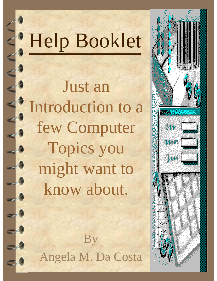# Help Booklet

Just an Introduction to a few Computer Topics you might want to know about.



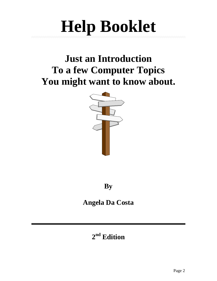## **Help Booklet**

## **Just an Introduction To a few Computer Topics You might want to know about.**



**By** 

## **Angela Da Costa**

## **2nd Edition**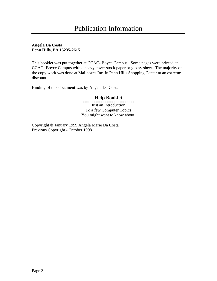#### **Angela Da Costa Penn Hills, PA 15235-2615**

This booklet was put together at CCAC- Boyce Campus. Some pages were printed at CCAC- Boyce Campus with a heavy cover stock paper or glossy sheet. The majority of the copy work was done at Mailboxes Inc. in Penn Hills Shopping Center at an extreme discount.

Binding of this document was by Angela Da Costa.

#### **Help Booklet**

Just an Introduction To a few Computer Topics You might want to know about.

Copyright © January 1999 Angela Marie Da Costa Previous Copyright - October 1998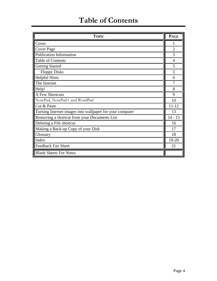## **Table of Contents**

| <b>TOPIC</b>                                             | <b>PAGE</b>    |
|----------------------------------------------------------|----------------|
| Cover                                                    | 1              |
| Cover Page                                               | $\overline{2}$ |
| <b>Publication Information</b>                           | 3              |
| Table of Contents                                        | $\overline{4}$ |
| <b>Getting Started</b>                                   | 5              |
| <b>Floppy Disks</b>                                      | 5              |
| <b>Helpful Hints</b>                                     | 6              |
| The Internet                                             | 7              |
| Help!                                                    | 8              |
| <b>A Few Shortcuts</b>                                   | 9              |
| NotePad, NotePad+ and WordPad                            | 10             |
| Cut & Paste                                              | $11 - 12$      |
| Turning Internet images into wallpaper for your computer | 13             |
| Removing a shortcut from your Documents List             | $14 - 15$      |
| Deleting a File shortcut                                 | 16             |
| Making a Back-up Copy of your Disk                       | 17             |
| Glossary                                                 | 18             |
| Index                                                    | 19-20          |
| Feedback Fax Sheet                                       | 21             |
| <b>Blank Sheets For Notes</b>                            |                |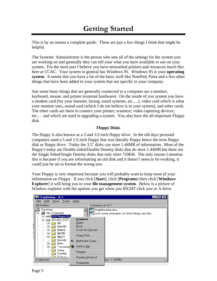## **Getting Started**

This is by no means a complete guide. These are just a few things I think that might be helpful.

The Systems' Administrator is the person who sets all of the settings for the system you are working on and generally they can tell your what you have available to use on your system. For the most part I believe you have networked printers and resources much like here at CCAC. Your system in general has Windows 95. Windows 95 is your **operating system**. It seems that you have a lot of the basic stuff like NotePad, Paint and a few other things that have been added to your system that are specific to your company.

Just some basic things that are generally connected to a computer are a monitor, keyboard, mouse, and printer (external hardware). On the inside of you system you have a modem card (for your Internet, faxing, email systems, etc.…), video card which is what your monitor uses, sound card (which I do not believe is in your system), and other cards. The other cards are there to connect your printer; scanners; video capturing devices; etc.… and which are used in upgrading a system. You also have the all-important Floppy disk.

#### **Floppy Disks**

The floppy is also known as a 3 and 1/2-inch floppy drive. In the old days personal computers used a 5 and 1/2-inch floppy that was literally floppy hence the term floppy disk or floppy drive. Today the 3.5" disks can store 1.44MB of information. Most of the floppy's today are Double sided/Double Density disks that do store 1.44MB but there are the Single Sided/Single Density disks that only store 720KB. The only reason I mention this is because if you are reformatting an old disk and it doesn't seem to be working, it could just be set to format the wrong size.

Your Floppy is very important because you will probably want to keep most of your information on Floppy. If you click [**Start**], click [**Programs**] then click [**Windows Explorer**] it will bring you to your **file management system**. Below is a picture of Window explorer with the options you get when you RIGHT click you're A drive.

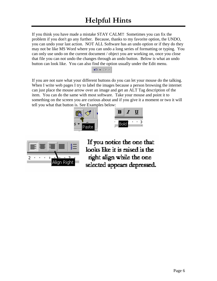If you think you have made a mistake STAY CALM!! Sometimes you can fix the problem if you don't go any further. Because, thanks to my favorite option, the UNDO, you can undo your last action. NOT ALL Software has an undo option or if they do they may not be like MS Word where you can undo a long series of formatting or typing. You can only use undo on the current document / object you are working on, once you close that file you can not undo the changes through an undo button. Below is what an undo button can look like. You can also find the option usually under the Edit menu.



If you are not sure what your different buttons do you can let your mouse do the talking. When I write web pages I try to label the images because a person browsing the internet can just place the mouse arrow over an image and get an ALT Tag description of the item. You can do the same with most software. Take your mouse and point it to something on the screen you are curious about and if you give it a moment or two it will tell you what that button is. See Examples below:





If you notice the one that looks like it is raised is the right align while the one selected appears depressed.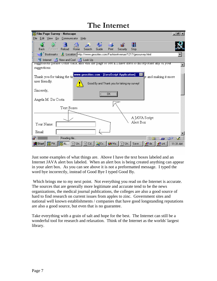## **The Internet**

| <b>Way Film Page Survey - Netscape</b>                                                                   | $  E $ $\times$                                                      |
|----------------------------------------------------------------------------------------------------------|----------------------------------------------------------------------|
| Edit View Go Communicator Help<br>File                                                                   |                                                                      |
| m4 annum<br>Home<br>Reload<br>Search<br>Guide<br>Forward<br>Back                                         | a<br>Print<br>Stop<br>Security                                       |
| Bookmarks & Location: http://www.geocities.com/FashionAvenue/1217/geosurvey.html                         |                                                                      |
| 网 Internet 6 New and Cool 6 Look Up                                                                      |                                                                      |
| suggeshons please come oack and visit the page to see if I have thed to incorporate any of your          |                                                                      |
| suggestions.                                                                                             |                                                                      |
| Thank you for taking the tir                                                                             | www.geocities.com - [JavaScript Application]<br>e and making it more |
| user friendly.                                                                                           | Good By and Thank you for taking my survey!                          |
| Sincerely,                                                                                               | öκ.                                                                  |
| Angela M. Da Costa                                                                                       |                                                                      |
|                                                                                                          |                                                                      |
| Text Boxes                                                                                               |                                                                      |
|                                                                                                          | A JAVA Script                                                        |
| Your Name:                                                                                               | Alert Box                                                            |
| Email:                                                                                                   |                                                                      |
| Reading file                                                                                             | 6P.<br>-52<br>- 12                                                   |
| <b> 過Start  </b>   竅 Pitt    籐 Fi   冒 Un   冒 Cd   Q Ex   ❷ Ma  冒 Un   Save    <i>■</i> de   <i>■</i> unt | 11:31 AM                                                             |

Just some examples of what things are. Above I have the text boxes labeled and an Internet JAVA alert box labeled. When an alert box is being created anything can appear in your alert box. As you can see above it is not a preformatted message. I typed the word bye incorrectly, instead of Good Bye I typed Good By.

 Which brings me to my next point. Not everything you read on the Internet is accurate. The sources that are generally more legitimate and accurate tend to be the news organizations, the medical journal publications, the colleges are also a good source of hard to find research on current issues from apples to zinc. Government sites and national well known establishments / companies that have good longstanding reputations are also a good source, but even that is no guarantee.

Take everything with a grain of salt and hope for the best. The Internet can still be a wonderful tool for research and relaxation. Think of the Internet as the worlds' largest library.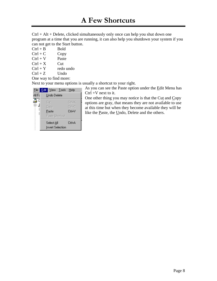Ctrl + Alt + Delete, clicked simultaneously only once can help you shut down one program at a time that you are running, it can also help you shutdown your system if you can not get to the Start button.

- $Ctrl + B$  Bold
- $Ctrl + C$  Copy
- $Ctrl + V$  Paste
- $Ctrl + X$  Cut
- $Ctrl + Y$  redo undo
- $Ctrl + Z$  Undo
- One way to find more:

Next to your menu options is usually a shortcut to your right.

|        |                                       | <u>File Edit View Tools Help</u> |               |
|--------|---------------------------------------|----------------------------------|---------------|
| All Fc | Undo Delete                           |                                  |               |
| 叠り     | Cut                                   |                                  | Ctrl+X        |
|        | Copy                                  |                                  | $C$ tr $ +C $ |
| Ŀ<br>G | Paste                                 |                                  | ∩rl+V         |
|        | Paste Shortcut                        |                                  |               |
|        | Select All<br><b>Invert Selection</b> |                                  | Ctrl+A        |

As you can see the Paste option under the Edit Menu has  $Ctrl +V$  next to it.

One other thing you may notice is that the Cut and Copy options are gray, that means they are not available to use at this time but when they become available they will be like the <u>P</u>aste, the Undo, Delete and the others.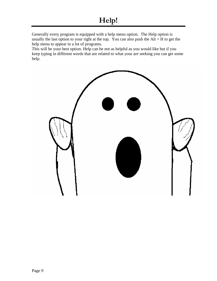Generally every program is equipped with a help menu option. The Help option is usually the last option to your right at the top. You can also push the  $Alt + H$  to get the help menu to appear in a lot of programs.

This will be your best option. Help can be not as helpful as you would like but if you keep typing in different words that are related to what your are seeking you can get some help.

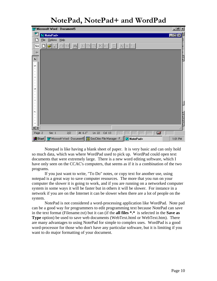## **NotePad, NotePad+ and WordPad**

| <b>W Microsoft Word - Document5</b>                                                                                                                                          | <u>니레지</u>  |
|------------------------------------------------------------------------------------------------------------------------------------------------------------------------------|-------------|
| 网<br>N NotePad+                                                                                                                                                              | <b>LOB!</b> |
| $Q$ ptions<br>He<br>File                                                                                                                                                     |             |
| $D[\mathcal{B}]\boxplus$<br>3 电电<br>马<br>$\phi_0$<br>$\mathbb{A}$ $\mid$ $\mathbb{A}$ $\mid$ $^{\text{i}}$ $_{\text{i}}$<br>$\equiv$<br>Nor<br>$\frac{1}{2}$<br>$\mathbb{E}$ |             |
| ۰                                                                                                                                                                            |             |
| L                                                                                                                                                                            |             |
| LO.                                                                                                                                                                          |             |
|                                                                                                                                                                              |             |
|                                                                                                                                                                              |             |
|                                                                                                                                                                              |             |
| مە                                                                                                                                                                           |             |
|                                                                                                                                                                              |             |
|                                                                                                                                                                              |             |
|                                                                                                                                                                              |             |
| r.                                                                                                                                                                           |             |
|                                                                                                                                                                              |             |
|                                                                                                                                                                              |             |
| $\equiv$ $\Box$<br>Ø<br>At 6.1"<br>Col <sub>13</sub><br>2/2<br>Ln 22<br>REC<br>TRK<br>EXT<br>OVR.<br>Page 2<br>Sec 1<br>WPH                                                  |             |
| W Microsoft Word - Document5   段 GeoCities File Manager - F   RI NotePad+<br>s <mark>d</mark> Start                                                                          | $1:01$ PM   |

Notepad is like having a blank sheet of paper. It is very basic and can only hold so much data, which was where WordPad used to pick up. WordPad could open text documents that were extremely large. There is a new word editing software, which I have only seen on the CCAC's computers, that seems as if it is a combination of the two programs.

If you just want to write, "To Do" notes, or copy text for another use, using notepad is a great way to save computer resources. The more that you run on your computer the slower it is going to work, and if you are running on a networked computer system in some ways it will be faster but in others it will be slower. For instance in a network if you are on the Internet it can be slower when there are a lot of people on the system.

NotePad is not considered a word-processing application like WordPad. Note pad can be a good way for programmers to edit programming text because NotePad can save in the text format (Filename.txt) but it can (if the **all files \*.\*** is selected in the **Save as Type** option) be used to save web documents (WebText.html or WebText.htm). There are many advantages to using NotePad for simple to complex uses. WordPad is a good word-processor for those who don't have any particular software, but it is limiting if you want to do major formatting of your document.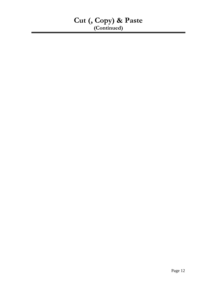### **Cut (, Copy) & Paste (Continued)**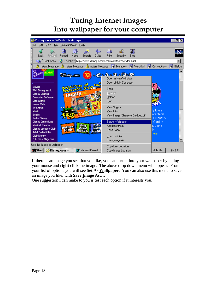## **Turing Internet images Into wallpaper for your computer**

| ※ Disney.com -- D-Cards - Netscape                                                                                                                                                                                   |                                                               |                              |                        |                                                                      |                                                                 |                                   |   |                                     |   | - [원]    |
|----------------------------------------------------------------------------------------------------------------------------------------------------------------------------------------------------------------------|---------------------------------------------------------------|------------------------------|------------------------|----------------------------------------------------------------------|-----------------------------------------------------------------|-----------------------------------|---|-------------------------------------|---|----------|
| File<br>Edit<br>-Go<br><b>View</b>                                                                                                                                                                                   | Communicator                                                  | Help                         |                        |                                                                      |                                                                 |                                   |   |                                     |   |          |
| m4 annium<br>Back<br>Forward                                                                                                                                                                                         | Home<br>Reload                                                | Search                       | Guide                  | Print                                                                | Security                                                        | u<br>Stop                         |   |                                     |   |          |
| Bookmarks                                                                                                                                                                                                            | // Location: http://www.disney.com/Features/Dcards/index.html |                              |                        |                                                                      |                                                                 |                                   |   |                                     |   |          |
| $\lambda$ Instant Message $\,\lambda\!\!\!\!\!\lambda\,$ Instant Message $\,\lambda\!\!\!\!\!\lambda\,$ Instant Message $\,\Xi\!\!\!\!\!\!\!\!\!\!\!\beta\,$ Members                                                 |                                                               |                              |                        |                                                                      |                                                                 | 图 WebMail                         | 團 | Connections                         | 團 | BizJourr |
| <b>BLAST</b><br><b>Movies</b><br><b>Walt Disney World</b><br><b>Disney Channel</b><br><b>Computer Software</b><br><b>Disneyland</b><br>Home Video<br><b>TV Shows</b><br>Music<br><b>Books</b><br><b>Radio Disney</b> | <b>Disasp.com</b><br>family                                   | <b>SAM REA</b>               |                        | <b>Back</b><br>Forward<br>Reload<br>Stop<br>View Source<br>View Info | <b>C.A.R.D.Q</b><br>Open in New Window<br>Open Link in Composer | View Image (CharacterCardbug.gif) |   | ly loves<br>aracters!<br>is month's |   |          |
| <b>Disney Cruise Line</b><br><b>Musical Theatre</b><br><b>Disney Vacation Club</b><br>Art & Collectibles<br><b>Club Disney</b><br>D.A. Kids' Magazine                                                                | Fornity com                                                   | <b>Disney</b><br>Web Carde   | Pools<br><b>Agre H</b> | Add Bookmark<br>Send Page<br>Save Link As                            | Set As Wallpaper<br>Save Image As                               |                                   |   | Card to<br>ids and<br>ily.<br>here. |   |          |
| Use this image as wallpaper<br><b>B</b> Start   <b>Ba</b> Disney.com …                                                                                                                                               |                                                               | <b>My Microsoft Word - F</b> |                        |                                                                      | Copy Link Location<br>Copy Image Location                       |                                   |   | - File Ma                           |   | 6:44 PM  |

If there is an image you see that you like, you can turn it into your wallpaper by taking your mouse and **right** click the image. The above drop down menu will appear. From your list of options you will see **Set As Wallpaper**. You can also use this menu to save an image you like, with **Save Image As….**

One suggestion I can make to you is test each option if it interests you.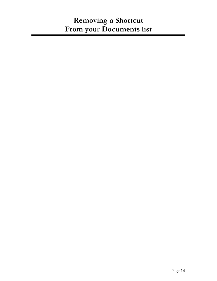## **Removing a Shortcut From your Documents list**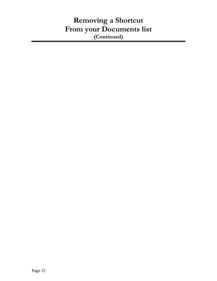## **Removing a Shortcut From your Documents list (Continued)**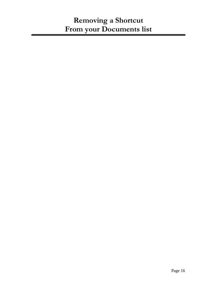## **Removing a Shortcut From your Documents list**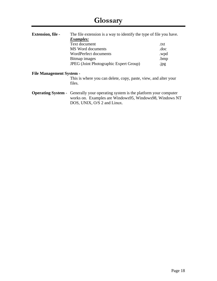| <b>Extension, file -</b>        | The file extension is a way to identify the type of file you have.                                                                                                                |      |  |  |  |
|---------------------------------|-----------------------------------------------------------------------------------------------------------------------------------------------------------------------------------|------|--|--|--|
|                                 | <i>Examples:</i>                                                                                                                                                                  |      |  |  |  |
|                                 | Text document                                                                                                                                                                     | .txt |  |  |  |
|                                 | MS Word documents                                                                                                                                                                 | .doc |  |  |  |
|                                 | WordPerfect documents                                                                                                                                                             | .wpd |  |  |  |
|                                 | Bitmap images                                                                                                                                                                     | .bmp |  |  |  |
|                                 | <b>JPEG</b> (Joint Photographic Expert Group)                                                                                                                                     | .jpg |  |  |  |
| <b>File Management System -</b> |                                                                                                                                                                                   |      |  |  |  |
|                                 | This is where you can delete, copy, paste, view, and alter your<br>files.                                                                                                         |      |  |  |  |
|                                 | <b>Operating System</b> - Generally your operating system is the platform your computer<br>works on. Examples are Windows95, Windows98, Windows NT<br>DOS, UNIX, O/S 2 and Linux. |      |  |  |  |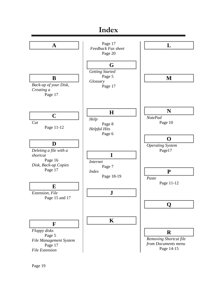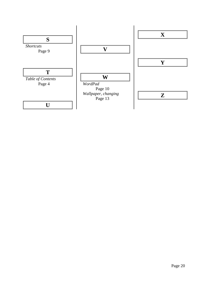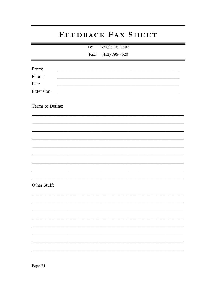## FEEDBACK FAX SHEET

Angela Da Costa To:

 $(412)$  795-7620 Fax:

| From:<br>Phone:<br>Fax:<br>Extension: |  |  |  |
|---------------------------------------|--|--|--|
| Terms to Define:                      |  |  |  |
|                                       |  |  |  |
|                                       |  |  |  |
|                                       |  |  |  |
|                                       |  |  |  |
| Other Stuff:                          |  |  |  |
|                                       |  |  |  |
|                                       |  |  |  |
|                                       |  |  |  |
|                                       |  |  |  |